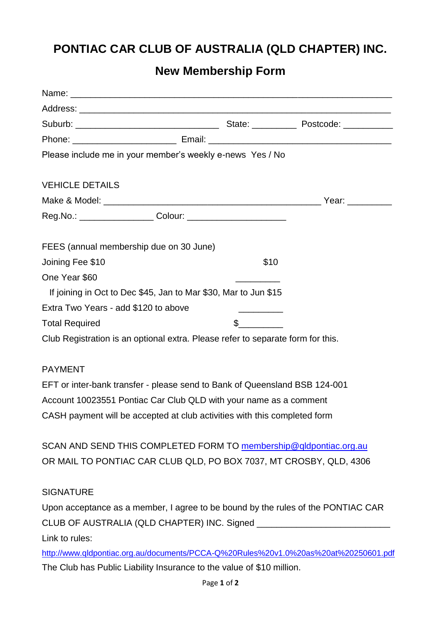## **PONTIAC CAR CLUB OF AUSTRALIA (QLD CHAPTER) INC.**

## **New Membership Form**

| Please include me in your member's weekly e-news Yes / No                        |                                                                                                                            |  |
|----------------------------------------------------------------------------------|----------------------------------------------------------------------------------------------------------------------------|--|
| <b>VEHICLE DETAILS</b>                                                           |                                                                                                                            |  |
|                                                                                  |                                                                                                                            |  |
|                                                                                  |                                                                                                                            |  |
| FEES (annual membership due on 30 June)                                          |                                                                                                                            |  |
| Joining Fee \$10                                                                 | \$10                                                                                                                       |  |
| One Year \$60                                                                    |                                                                                                                            |  |
| If joining in Oct to Dec \$45, Jan to Mar \$30, Mar to Jun \$15                  |                                                                                                                            |  |
| Extra Two Years - add \$120 to above                                             | <u> Alexandro Alexandro Alexandro Alexandro Alexandro Alexandro Alexandro Alexandro Alexandro Alexandro Alexandro Alex</u> |  |
| <b>Total Required</b>                                                            | $\mathbb S$                                                                                                                |  |
| Club Registration is an optional extra. Please refer to separate form for this.  |                                                                                                                            |  |
| <b>PAYMENT</b>                                                                   |                                                                                                                            |  |
| EFT or inter-bank transfer - please send to Bank of Queensland BSB 124-001       |                                                                                                                            |  |
| Account 10023551 Pontiac Car Club QLD with your name as a comment                |                                                                                                                            |  |
| CASH payment will be accepted at club activities with this completed form        |                                                                                                                            |  |
| SCAN AND SEND THIS COMPLETED FORM TO membership@qldpontiac.org.au                |                                                                                                                            |  |
| OR MAIL TO PONTIAC CAR CLUB QLD, PO BOX 7037, MT CROSBY, QLD, 4306               |                                                                                                                            |  |
| <b>SIGNATURE</b>                                                                 |                                                                                                                            |  |
| Upon acceptance as a member, I agree to be bound by the rules of the PONTIAC CAR |                                                                                                                            |  |
|                                                                                  |                                                                                                                            |  |
| Link to rules:                                                                   |                                                                                                                            |  |

<http://www.qldpontiac.org.au/documents/PCCA-Q%20Rules%20v1.0%20as%20at%20250601.pdf> The Club has Public Liability Insurance to the value of \$10 million.